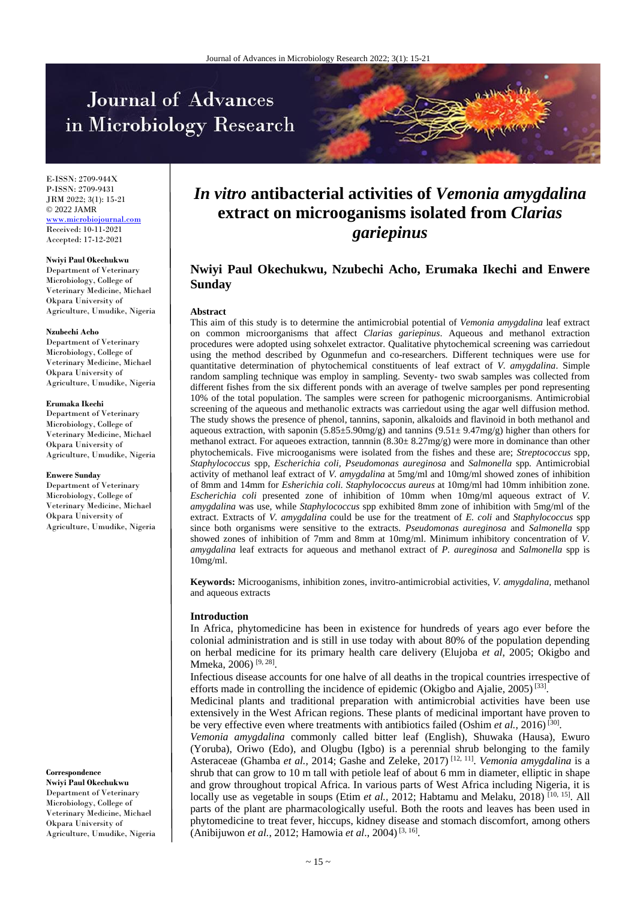# Journal of Advances in Microbiology Research



E-ISSN: 2709-944X P-ISSN: 2709-9431 JRM 2022; 3(1): 15-21 © 2022 JAMR <www.microbiojournal.com> Received: 10-11-2021 Accepted: 17-12-2021

#### **Nwiyi Paul Okechukwu**

Department of Veterinary Microbiology, College of Veterinary Medicine, Michael Okpara University of Agriculture, Umudike, Nigeria

#### **Nzubechi Acho**

Department of Veterinary Microbiology, College of Veterinary Medicine, Michael Okpara University of Agriculture, Umudike, Nigeria

#### **Erumaka Ikechi**

Department of Veterinary Microbiology, College of Veterinary Medicine, Michael Okpara University of Agriculture, Umudike, Nigeria

#### **Enwere Sunday**

Department of Veterinary Microbiology, College of Veterinary Medicine, Michael Okpara University of Agriculture, Umudike, Nigeria

**Correspondence Nwiyi Paul Okechukwu** Department of Veterinary Microbiology, College of Veterinary Medicine, Michael Okpara University of Agriculture, Umudike, Nigeria

# *In vitro* **antibacterial activities of** *Vemonia amygdalina* **extract on microoganisms isolated from** *Clarias gariepinus*

# **Nwiyi Paul Okechukwu, Nzubechi Acho, Erumaka Ikechi and Enwere Sunday**

#### **Abstract**

This aim of this study is to determine the antimicrobial potential of *Vemonia amygdalina* leaf extract on common microorganisms that affect *Clarias gariepinus*. Aqueous and methanol extraction procedures were adopted using sohxelet extractor. Qualitative phytochemical screening was carriedout using the method described by Ogunmefun and co-researchers. Different techniques were use for quantitative determination of phytochemical constituents of leaf extract of *V. amygdalina*. Simple random sampling technique was employ in sampling. Seventy- two swab samples was collected from different fishes from the six different ponds with an average of twelve samples per pond representing 10% of the total population. The samples were screen for pathogenic microorganisms. Antimicrobial screening of the aqueous and methanolic extracts was carriedout using the agar well diffusion method. The study shows the presence of phenol, tannins, saponin, alkaloids and flavinoid in both methanol and aqueous extraction, with saponin  $(5.85\pm5.90$ mg/g) and tannins  $(9.51\pm9.47$ mg/g) higher than others for methanol extract. For aqueoes extraction, tannnin  $(8.30 \pm 8.27 \text{mg/g})$  were more in dominance than other phytochemicals. Five microoganisms were isolated from the fishes and these are; *Streptococcus* spp*, Staphylococcus* spp*, Escherichia coli, Pseudomonas aureginosa* and *Salmonella* spp*.* Antimicrobial activity of methanol leaf extract of *V. amygdalina* at 5mg/ml and 10mg/ml showed zones of inhibition of 8mm and 14mm for *Esherichia coli. Staphylococcus aureus* at 10mg/ml had 10mm inhibition zone*. Escherichia coli* presented zone of inhibition of 10mm when 10mg/ml aqueous extract of *V. amygdalina* was use, while *Staphylococcus* spp exhibited 8mm zone of inhibition with 5mg/ml of the extract*.* Extracts of *V. amygdalina* could be use for the treatment of *E. coli* and *Staphylococcus* spp since both organisms were sensitive to the extracts. *Pseudomonas aureginosa* and *Salmonella* spp showed zones of inhibition of 7mm and 8mm at 10mg/ml. Minimum inhibitory concentration of *V. amygdalina* leaf extracts for aqueous and methanol extract of *P. aureginosa* and *Salmonella* spp is 10mg/ml.

**Keywords:** Microoganisms, inhibition zones, invitro-antimicrobial activities, *V. amygdalina,* methanol and aqueous extracts

#### **Introduction**

In Africa, phytomedicine has been in existence for hundreds of years ago ever before the colonial administration and is still in use today with about 80% of the population depending on herbal medicine for its primary health care delivery (Elujoba *et al*, 2005; Okigbo and Mmeka, 2006)<sup>[9, 28]</sup>.

Infectious disease accounts for one halve of all deaths in the tropical countries irrespective of efforts made in controlling the incidence of epidemic (Okigbo and Ajalie, 2005)<sup>[33]</sup>.

Medicinal plants and traditional preparation with antimicrobial activities have been use extensively in the West African regions. These plants of medicinal important have proven to be very effective even where treatments with antibiotics failed (Oshim et al., 2016)<sup>[30]</sup>.

*Vemonia amygdalina* commonly called bitter leaf (English), Shuwaka (Hausa), Ewuro (Yoruba), Oriwo (Edo), and Olugbu (Igbo) is a perennial shrub belonging to the family Asteraceae (Ghamba *et al.,* 2014; Gashe and Zeleke, 2017) [12, 11] . *Vemonia amygdalina* is a shrub that can grow to 10 m tall with petiole leaf of about 6 mm in diameter, elliptic in shape and grow throughout tropical Africa. In various parts of West Africa including Nigeria, it is locally use as vegetable in soups (Etim *et al.*, 2012; Habtamu and Melaku, 2018)<sup>[10, 15]</sup>. All parts of the plant are pharmacologically useful. Both the roots and leaves has been used in phytomedicine to treat fever, hiccups, kidney disease and stomach discomfort, among others (Anibijuwon *et al.*, 2012; Hamowia *et al*., 2004) [3, 16] .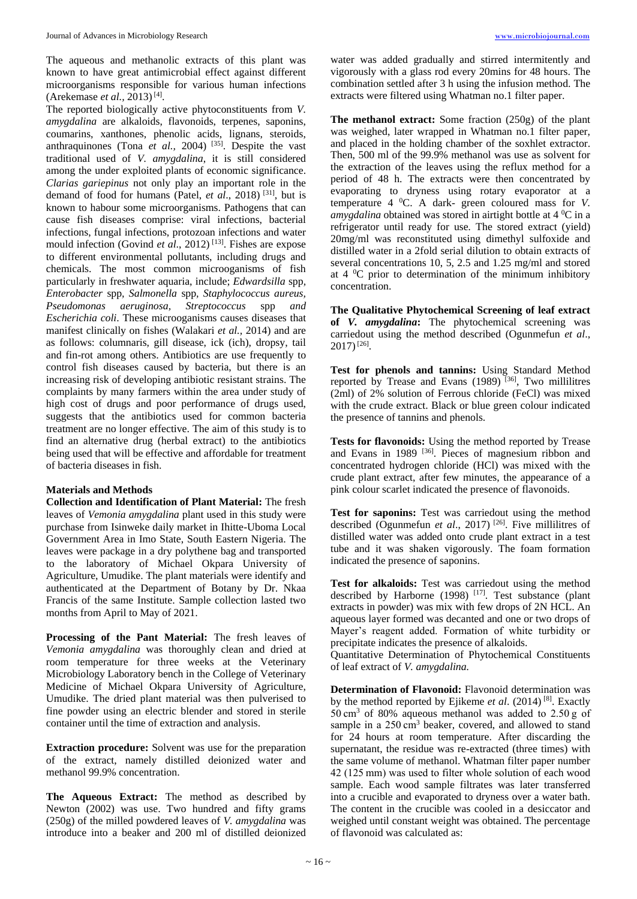The aqueous and methanolic extracts of this plant was known to have great antimicrobial effect against different microorganisms responsible for various human infections (Arekemase *et al.*, 2013)<sup>[4]</sup>.

The reported biologically active phytoconstituents from *V. amygdalina* are alkaloids, flavonoids, terpenes, saponins, coumarins, xanthones, phenolic acids, lignans, steroids, anthraquinones (Tona *et al.*, 2004)<sup>[35]</sup>. Despite the vast traditional used of *V. amygdalina*, it is still considered among the under exploited plants of economic significance. *Clarias gariepinus* not only play an important role in the demand of food for humans (Patel, *et al*., 2018) [31] , but is known to habour some microorganisms. Pathogens that can cause fish diseases comprise: viral infections, bacterial infections, fungal infections, protozoan infections and water mould infection (Govind *et al.*, 2012)<sup>[13]</sup>. Fishes are expose to different environmental pollutants, including drugs and chemicals. The most common microoganisms of fish particularly in freshwater aquaria, include; *Edwardsilla* spp*, Enterobacter* spp*, Salmonella* spp*, Staphylococcus aureus, Pseudomonas aeruginosa, Streptococcus* spp *and Escherichia coli*. These microoganisms causes diseases that manifest clinically on fishes (Walakari *et al.,* 2014) and are as follows: columnaris, gill disease, ick (ich), dropsy, tail and fin-rot among others. Antibiotics are use frequently to control fish diseases caused by bacteria, but there is an increasing risk of developing antibiotic resistant strains. The complaints by many farmers within the area under study of high cost of drugs and poor performance of drugs used, suggests that the antibiotics used for common bacteria treatment are no longer effective. The aim of this study is to find an alternative drug (herbal extract) to the antibiotics being used that will be effective and affordable for treatment of bacteria diseases in fish.

# **Materials and Methods**

**Collection and Identification of Plant Material:** The fresh leaves of *Vemonia amygdalina* plant used in this study were purchase from Isinweke daily market in Ihitte-Uboma Local Government Area in Imo State, South Eastern Nigeria. The leaves were package in a dry polythene bag and transported to the laboratory of Michael Okpara University of Agriculture, Umudike. The plant materials were identify and authenticated at the Department of Botany by Dr. Nkaa Francis of the same Institute. Sample collection lasted two months from April to May of 2021.

**Processing of the Pant Material:** The fresh leaves of *Vemonia amygdalina* was thoroughly clean and dried at room temperature for three weeks at the Veterinary Microbiology Laboratory bench in the College of Veterinary Medicine of Michael Okpara University of Agriculture, Umudike. The dried plant material was then pulverised to fine powder using an electric blender and stored in sterile container until the time of extraction and analysis.

**Extraction procedure:** Solvent was use for the preparation of the extract, namely distilled deionized water and methanol 99.9% concentration.

**The Aqueous Extract:** The method as described by Newton (2002) was use. Two hundred and fifty grams (250g) of the milled powdered leaves of *V. amygdalina* was introduce into a beaker and 200 ml of distilled deionized water was added gradually and stirred intermitently and vigorously with a glass rod every 20mins for 48 hours. The combination settled after 3 h using the infusion method. The extracts were filtered using Whatman no.1 filter paper.

**The methanol extract:** Some fraction (250g) of the plant was weighed, later wrapped in Whatman no.1 filter paper, and placed in the holding chamber of the soxhlet extractor. Then, 500 ml of the 99.9% methanol was use as solvent for the extraction of the leaves using the reflux method for a period of 48 h. The extracts were then concentrated by evaporating to dryness using rotary evaporator at a temperature 4 <sup>0</sup>C. A dark- green coloured mass for *V. amygdalina* obtained was stored in airtight bottle at 4 <sup>o</sup>C in a refrigerator until ready for use*.* The stored extract (yield) 20mg/ml was reconstituted using dimethyl sulfoxide and distilled water in a 2fold serial dilution to obtain extracts of several concentrations 10, 5, 2.5 and 1.25 mg/ml and stored at  $4 \, \mathrm{°C}$  prior to determination of the minimum inhibitory concentration.

**The Qualitative Phytochemical Screening of leaf extract of** *V. amygdalina***:** The phytochemical screening was carriedout using the method described (Ogunmefun *et al*., 2017)[26] .

**Test for phenols and tannins:** Using Standard Method reported by Trease and Evans  $(1989)$ <sup>[36]</sup>, Two millilitres (2ml) of 2% solution of Ferrous chloride (FeCl) was mixed with the crude extract. Black or blue green colour indicated the presence of tannins and phenols.

**Tests for flavonoids:** Using the method reported by Trease and Evans in 1989 <sup>[36]</sup>. Pieces of magnesium ribbon and concentrated hydrogen chloride (HCl) was mixed with the crude plant extract, after few minutes, the appearance of a pink colour scarlet indicated the presence of flavonoids.

**Test for saponins:** Test was carriedout using the method described (Ogunmefun *et al.*, 2017)<sup>[26]</sup>. Five millilitres of distilled water was added onto crude plant extract in a test tube and it was shaken vigorously. The foam formation indicated the presence of saponins.

**Test for alkaloids:** Test was carriedout using the method described by Harborne  $(1998)$ <sup>[17]</sup>. Test substance (plant extracts in powder) was mix with few drops of 2N HCL. An aqueous layer formed was decanted and one or two drops of Mayer's reagent added. Formation of white turbidity or precipitate indicates the presence of alkaloids.

Quantitative Determination of Phytochemical Constituents of leaf extract of *V. amygdalina.*

**Determination of Flavonoid:** Flavonoid determination was by the method reported by Ejikeme *et al*. (2014) [8] . Exactly 50 cm<sup>3</sup> of 80% aqueous methanol was added to 2.50 g of sample in a 250 cm<sup>3</sup> beaker, covered, and allowed to stand for 24 hours at room temperature. After discarding the supernatant, the residue was re-extracted (three times) with the same volume of methanol. Whatman filter paper number 42 (125 mm) was used to filter whole solution of each wood sample. Each wood sample filtrates was later transferred into a crucible and evaporated to dryness over a water bath. The content in the crucible was cooled in a desiccator and weighed until constant weight was obtained. The percentage of flavonoid was calculated as: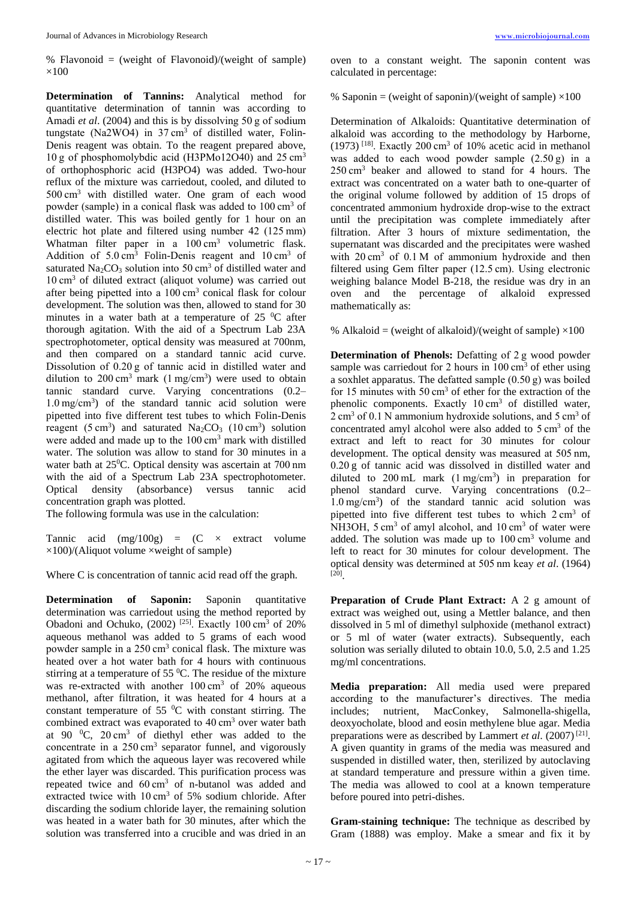% Flavonoid = (weight of Flavonoid)/(weight of sample)  $\times100$ 

**Determination of Tannins:** Analytical method for quantitative determination of tannin was according to Amadi *et al*. (2004) and this is by dissolving 50 g of sodium tungstate (Na2WO4) in 37 cm<sup>3</sup> of distilled water, Folin-Denis reagent was obtain. To the reagent prepared above, 10 g of phosphomolybdic acid (H3PMo12O40) and 25 cm<sup>3</sup> of orthophosphoric acid (H3PO4) was added. Two-hour reflux of the mixture was carriedout, cooled, and diluted to 500 cm<sup>3</sup> with distilled water. One gram of each wood powder (sample) in a conical flask was added to 100 cm<sup>3</sup> of distilled water. This was boiled gently for 1 hour on an electric hot plate and filtered using number 42 (125 mm) Whatman filter paper in a  $100 \text{ cm}^3$  volumetric flask. Addition of  $5.0 \text{ cm}^3$  Folin-Denis reagent and  $10 \text{ cm}^3$  of saturated Na<sub>2</sub>CO<sub>3</sub> solution into 50 cm<sup>3</sup> of distilled water and 10 cm<sup>3</sup> of diluted extract (aliquot volume) was carried out after being pipetted into a 100 cm<sup>3</sup> conical flask for colour development. The solution was then, allowed to stand for 30 minutes in a water bath at a temperature of  $25\degree$ C after thorough agitation. With the aid of a Spectrum Lab 23A spectrophotometer, optical density was measured at 700nm, and then compared on a standard tannic acid curve. Dissolution of 0.20 g of tannic acid in distilled water and dilution to 200 cm<sup>3</sup> mark (1 mg/cm<sup>3</sup>) were used to obtain tannic standard curve. Varying concentrations (0.2– 1.0 mg/cm<sup>3</sup> ) of the standard tannic acid solution were pipetted into five different test tubes to which Folin-Denis reagent (5 cm<sup>3</sup>) and saturated  $Na<sub>2</sub>CO<sub>3</sub>$  (10 cm<sup>3</sup>) solution were added and made up to the 100 cm<sup>3</sup> mark with distilled water. The solution was allow to stand for 30 minutes in a water bath at 25<sup>0</sup>C. Optical density was ascertain at 700 nm with the aid of a Spectrum Lab 23A spectrophotometer. Optical density (absorbance) versus tannic acid concentration graph was plotted.

The following formula was use in the calculation:

Tannic acid  $(mg/100g) = (C \times$  extract volume  $\times$ 100)/(Aliquot volume  $\times$ weight of sample)

Where C is concentration of tannic acid read off the graph.

**Determination of Saponin:** Saponin quantitative determination was carriedout using the method reported by Obadoni and Ochuko,  $(2002)$ <sup>[25]</sup>. Exactly 100 cm<sup>3</sup> of 20% aqueous methanol was added to 5 grams of each wood powder sample in a 250 cm<sup>3</sup> conical flask. The mixture was heated over a hot water bath for 4 hours with continuous stirring at a temperature of 55 $\mathrm{^{0}C}$ . The residue of the mixture was re-extracted with another 100 cm<sup>3</sup> of 20% aqueous methanol, after filtration, it was heated for 4 hours at a constant temperature of  $55\text{ °C}$  with constant stirring. The combined extract was evaporated to 40 cm<sup>3</sup> over water bath at 90  $^{\circ}$ C, 20 cm<sup>3</sup> of diethyl ether was added to the concentrate in a  $250 \text{ cm}^3$  separator funnel, and vigorously agitated from which the aqueous layer was recovered while the ether layer was discarded. This purification process was repeated twice and 60 cm<sup>3</sup> of n-butanol was added and extracted twice with 10 cm<sup>3</sup> of 5% sodium chloride. After discarding the sodium chloride layer, the remaining solution was heated in a water bath for 30 minutes, after which the solution was transferred into a crucible and was dried in an

oven to a constant weight. The saponin content was calculated in percentage:

% Saponin = (weight of saponin)/(weight of sample)  $\times 100$ 

Determination of Alkaloids: Quantitative determination of alkaloid was according to the methodology by Harborne,  $(1973)$ <sup>[18]</sup>. Exactly 200 cm<sup>3</sup> of 10% acetic acid in methanol was added to each wood powder sample (2.50 g) in a 250 cm<sup>3</sup> beaker and allowed to stand for 4 hours. The extract was concentrated on a water bath to one-quarter of the original volume followed by addition of 15 drops of concentrated ammonium hydroxide drop-wise to the extract until the precipitation was complete immediately after filtration. After 3 hours of mixture sedimentation, the supernatant was discarded and the precipitates were washed with 20 cm<sup>3</sup> of 0.1 M of ammonium hydroxide and then filtered using Gem filter paper (12.5 cm). Using electronic weighing balance Model B-218, the residue was dry in an oven and the percentage of alkaloid expressed mathematically as:

% Alkaloid = (weight of alkaloid)/(weight of sample)  $\times 100$ 

**Determination of Phenols:** Defatting of 2 g wood powder sample was carriedout for 2 hours in  $100 \text{ cm}^3$  of ether using a soxhlet apparatus. The defatted sample (0.50 g) was boiled for 15 minutes with 50 cm<sup>3</sup> of ether for the extraction of the phenolic components. Exactly  $10 \text{ cm}^3$  of distilled water, 2 cm<sup>3</sup> of 0.1 N ammonium hydroxide solutions, and 5 cm<sup>3</sup> of concentrated amyl alcohol were also added to 5 cm<sup>3</sup> of the extract and left to react for 30 minutes for colour development. The optical density was measured at 505 nm, 0.20 g of tannic acid was dissolved in distilled water and diluted to 200 mL mark (1 mg/cm<sup>3</sup> ) in preparation for phenol standard curve. Varying concentrations (0.2– 1.0 mg/cm<sup>3</sup> ) of the standard tannic acid solution was pipetted into five different test tubes to which 2 cm<sup>3</sup> of NH3OH, 5 cm<sup>3</sup> of amyl alcohol, and 10 cm<sup>3</sup> of water were added. The solution was made up to 100 cm<sup>3</sup> volume and left to react for 30 minutes for colour development. The optical density was determined at 505 nm keay *et al*. (1964) [20] .

**Preparation of Crude Plant Extract:** A 2 g amount of extract was weighed out, using a Mettler balance, and then dissolved in 5 ml of dimethyl sulphoxide (methanol extract) or 5 ml of water (water extracts). Subsequently, each solution was serially diluted to obtain 10.0, 5.0, 2.5 and 1.25 mg/ml concentrations.

**Media preparation:** All media used were prepared according to the manufacturer's directives. The media includes; nutrient, MacConkey, Salmonella-shigella, deoxyocholate, blood and eosin methylene blue agar. Media preparations were as described by Lammert *et al.* (2007)<sup>[21]</sup>. A given quantity in grams of the media was measured and suspended in distilled water, then, sterilized by autoclaving at standard temperature and pressure within a given time. The media was allowed to cool at a known temperature before poured into petri-dishes.

**Gram-staining technique:** The technique as described by Gram (1888) was employ. Make a smear and fix it by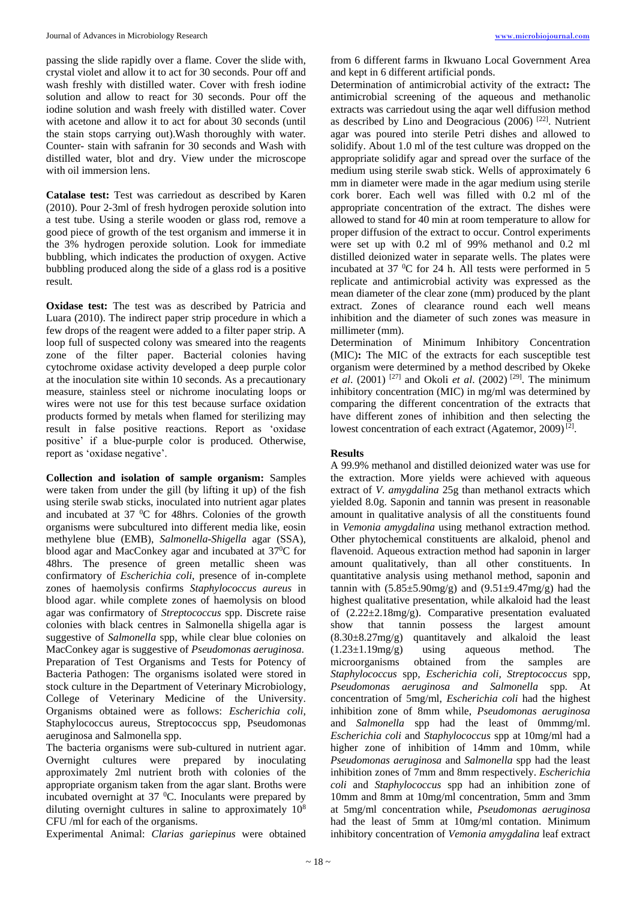passing the slide rapidly over a flame. Cover the slide with, crystal violet and allow it to act for 30 seconds. Pour off and wash freshly with distilled water. Cover with fresh iodine solution and allow to react for 30 seconds. Pour off the iodine solution and wash freely with distilled water. Cover with acetone and allow it to act for about 30 seconds (until the stain stops carrying out).Wash thoroughly with water. Counter- stain with safranin for 30 seconds and Wash with distilled water, blot and dry. View under the microscope with oil immersion lens.

**Catalase test:** Test was carriedout as described by Karen (2010). Pour 2-3ml of fresh hydrogen peroxide solution into a test tube. Using a sterile wooden or glass rod, remove a good piece of growth of the test organism and immerse it in the 3% hydrogen peroxide solution. Look for immediate bubbling, which indicates the production of oxygen. Active bubbling produced along the side of a glass rod is a positive result.

**Oxidase test:** The test was as described by Patricia and Luara (2010). The indirect paper strip procedure in which a few drops of the reagent were added to a filter paper strip. A loop full of suspected colony was smeared into the reagents zone of the filter paper. Bacterial colonies having cytochrome oxidase activity developed a deep purple color at the inoculation site within 10 seconds. As a precautionary measure, stainless steel or nichrome inoculating loops or wires were not use for this test because surface oxidation products formed by metals when flamed for sterilizing may result in false positive reactions. Report as 'oxidase positive' if a blue-purple color is produced. Otherwise, report as 'oxidase negative'.

**Collection and isolation of sample organism:** Samples were taken from under the gill (by lifting it up) of the fish using sterile swab sticks, inoculated into nutrient agar plates and incubated at  $37 \text{ °C}$  for 48hrs. Colonies of the growth organisms were subcultured into different media like, eosin methylene blue (EMB), *Salmonella-Shigella* agar (SSA), blood agar and MacConkey agar and incubated at 37<sup>0</sup>C for 48hrs. The presence of green metallic sheen was confirmatory of *Escherichia coli*, presence of in-complete zones of haemolysis confirms *Staphylococcus aureus* in blood agar. while complete zones of haemolysis on blood agar was confirmatory of *Streptococcus* spp. Discrete raise colonies with black centres in Salmonella shigella agar is suggestive of *Salmonella* spp, while clear blue colonies on MacConkey agar is suggestive of *Pseudomonas aeruginosa*. Preparation of Test Organisms and Tests for Potency of Bacteria Pathogen: The organisms isolated were stored in stock culture in the Department of Veterinary Microbiology, College of Veterinary Medicine of the University. Organisms obtained were as follows: *Escherichia coli*, Staphylococcus aureus, Streptococcus spp, Pseudomonas aeruginosa and Salmonella spp.

The bacteria organisms were sub-cultured in nutrient agar. Overnight cultures were prepared by inoculating approximately 2ml nutrient broth with colonies of the appropriate organism taken from the agar slant. Broths were incubated overnight at 37 °C. Inoculants were prepared by diluting overnight cultures in saline to approximately 10<sup>8</sup> CFU /ml for each of the organisms.

Experimental Animal: *Clarias gariepinus* were obtained

from 6 different farms in Ikwuano Local Government Area and kept in 6 different artificial ponds.

Determination of antimicrobial activity of the extract**:** The antimicrobial screening of the aqueous and methanolic extracts was carriedout using the aqar well diffusion method as described by Lino and Deogracious (2006)<sup>[22]</sup>. Nutrient agar was poured into sterile Petri dishes and allowed to solidify. About 1.0 ml of the test culture was dropped on the appropriate solidify agar and spread over the surface of the medium using sterile swab stick. Wells of approximately 6 mm in diameter were made in the agar medium using sterile cork borer. Each well was filled with 0.2 ml of the appropriate concentration of the extract. The dishes were allowed to stand for 40 min at room temperature to allow for proper diffusion of the extract to occur. Control experiments were set up with 0.2 ml of 99% methanol and 0.2 ml distilled deionized water in separate wells. The plates were incubated at 37  $\rm{^0C}$  for 24 h. All tests were performed in 5 replicate and antimicrobial activity was expressed as the mean diameter of the clear zone (mm) produced by the plant extract. Zones of clearance round each well means inhibition and the diameter of such zones was measure in millimeter (mm).

Determination of Minimum Inhibitory Concentration (MIC)**:** The MIC of the extracts for each susceptible test organism were determined by a method described by Okeke *et al.* (2001) <sup>[27]</sup> and Okoli *et al.* (2002) <sup>[29]</sup>. The minimum inhibitory concentration (MIC) in mg/ml was determined by comparing the different concentration of the extracts that have different zones of inhibition and then selecting the lowest concentration of each extract (Agatemor, 2009)<sup>[2]</sup>.

### **Results**

A 99.9% methanol and distilled deionized water was use for the extraction. More yields were achieved with aqueous extract of *V. amygdalina* 25g than methanol extracts which yielded 8.0g. Saponin and tannin was present in reasonable amount in qualitative analysis of all the constituents found in *Vemonia amygdalina* using methanol extraction method*.*  Other phytochemical constituents are alkaloid, phenol and flavenoid. Aqueous extraction method had saponin in larger amount qualitatively, than all other constituents. In quantitative analysis using methanol method, saponin and tannin with  $(5.85\pm5.90mg/g)$  and  $(9.51\pm9.47mg/g)$  had the highest qualitative presentation, while alkaloid had the least of  $(2.22\pm 2.18$ mg/g). Comparative presentation evaluated show that tannin possess the largest amount  $(8.30\pm8.27mg/g)$  quantitavely and alkaloid the least (1.23±1.19mg/g) using aqueous method. The microorganisms obtained from the samples are *Staphylococcus* spp*, Escherichia coli, Streptococcus* spp*, Pseudomonas aeruginosa and Salmonella* spp*.* At concentration of 5mg/ml, *Escherichia coli* had the highest inhibition zone of 8mm while, *Pseudomonas aeruginosa* and *Salmonella* spp had the least of 0mmmg/ml. *Escherichia coli* and *Staphylococcus* spp at 10mg/ml had a higher zone of inhibition of 14mm and 10mm, while *Pseudomonas aeruginosa* and *Salmonella* spp had the least inhibition zones of 7mm and 8mm respectively. *Escherichia coli* and *Staphylococcus* spp had an inhibition zone of 10mm and 8mm at 10mg/ml concentration, 5mm and 3mm at 5mg/ml concentration while, *Pseudomonas aeruginosa* had the least of 5mm at 10mg/ml contation. Minimum inhibitory concentration of *Vemonia amygdalina* leaf extract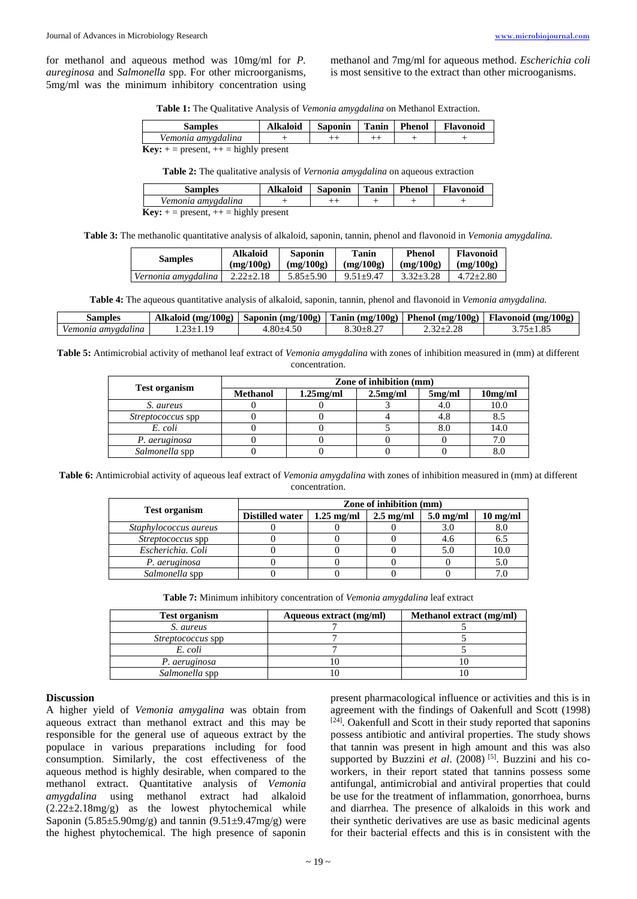for methanol and aqueous method was 10mg/ml for *P. aureginosa* and *Salmonella* spp. For other microorganisms, 5mg/ml was the minimum inhibitory concentration using methanol and 7mg/ml for aqueous method. *Escherichia coli* is most sensitive to the extract than other microoganisms.

| Vemonia amygdalina | <b>Samples</b> | Alkaloid | <b>Saponin</b> | l Tanin | <b>Phenol</b> | <b>Flavonoid</b> |
|--------------------|----------------|----------|----------------|---------|---------------|------------------|
|                    |                |          |                |         |               |                  |

**Key:**  $+$  = present,  $++$  = highly present

**Table 2:** The qualitative analysis of *Vernonia amygdalina* on aqueous extraction

| <b>Samples</b>                                   | <b>Alkaloid</b> | <b>Saponin</b> |  | Tanin   Phenol | <b>Flavonoid</b> |
|--------------------------------------------------|-----------------|----------------|--|----------------|------------------|
| Vemonia amygdalina                               |                 | $^{++}$        |  |                |                  |
| <b>Key:</b> $+$ = present, $++$ = highly present |                 |                |  |                |                  |

**Table 3:** The methanolic quantitative analysis of alkaloid, saponin, tannin, phenol and flavonoid in *Vemonia amygdalina.*

| <b>Samples</b>      | <b>Alkaloid</b> | <b>Saponin</b>  | Tanin         | <b>Phenol</b> | <b>Flavonoid</b> |
|---------------------|-----------------|-----------------|---------------|---------------|------------------|
|                     | (mg/100g)       | (mg/100g)       | (mg/100g)     | (mg/100g)     | (mg/100g)        |
| Vernonia amygdalina | $2.22 + 2.18$   | $5.85 \pm 5.90$ | $9.51 + 9.47$ | $3.32 + 3.28$ | $4.72 \pm 2.80$  |

**Table 4:** The aqueous quantitative analysis of alkaloid, saponin, tannin, phenol and flavonoid in *Vemonia amygdalina.*

| samples            | Alkaloid (mg/100g) |                |                 |                                                                                         | Saponin (mg/100g)   Tanin (mg/100g)   Phenol (mg/100g)   Flavonoid (mg/100g) |
|--------------------|--------------------|----------------|-----------------|-----------------------------------------------------------------------------------------|------------------------------------------------------------------------------|
| Vemonia amygdalina | 10<br>$23+1$       | $.80{\pm}4.50$ | $3.30 \pm 8.27$ | $\overline{a}$ . j $\overline{a}$ if $\overline{a}$ if $\overline{a}$ if $\overline{a}$ | $275 + 1.$                                                                   |

**Table 5:** Antimicrobial activity of methanol leaf extract of *Vemonia amygdalina* with zones of inhibition measured in (mm) at different concentration.

|                          | Zone of inhibition (mm) |              |          |        |         |  |
|--------------------------|-------------------------|--------------|----------|--------|---------|--|
| <b>Test organism</b>     | <b>Methanol</b>         | $1.25$ mg/ml | 2.5mg/ml | 5mg/ml | 10mg/ml |  |
| S. aureus                |                         |              |          | 4.0    | 10.0    |  |
| <i>Streptococcus</i> spp |                         |              |          | 4.8    |         |  |
| E. coli                  |                         |              |          | 8.0    | 14.0    |  |
| P. aeruginosa            |                         |              |          |        |         |  |
| Salmonella spp           |                         |              |          |        |         |  |

**Table 6:** Antimicrobial activity of aqueous leaf extract of *Vemonia amygdalina* with zones of inhibition measured in (mm) at different concentration.

|                          | Zone of inhibition (mm) |                      |                     |             |                    |  |
|--------------------------|-------------------------|----------------------|---------------------|-------------|--------------------|--|
| <b>Test organism</b>     | <b>Distilled water</b>  | $1.25 \text{ mg/ml}$ | $2.5 \text{ mg/ml}$ | $5.0$ mg/ml | $10 \text{ mg/ml}$ |  |
| Staphylococcus aureus    |                         |                      |                     | 3.0         | 8.0                |  |
| <i>Streptococcus</i> spp |                         |                      |                     | 4.6         | 6.5                |  |
| Escherichia, Coli        |                         |                      |                     | 5.0         | 10.0               |  |
| P. aeruginosa            |                         |                      |                     |             | 5.0                |  |
| Salmonella spp           |                         |                      |                     |             |                    |  |

**Table 7:** Minimum inhibitory concentration of *Vemonia amygdalina* leaf extract

| <b>Test organism</b>     | Aqueous extract (mg/ml) | Methanol extract (mg/ml) |
|--------------------------|-------------------------|--------------------------|
| S. aureus                |                         |                          |
| <i>Streptococcus</i> spp |                         |                          |
| E. coli                  |                         |                          |
| P. aeruginosa            |                         |                          |
| Salmonella spp           |                         |                          |

#### **Discussion**

A higher yield of *Vemonia amygalina* was obtain from aqueous extract than methanol extract and this may be responsible for the general use of aqueous extract by the populace in various preparations including for food consumption. Similarly, the cost effectiveness of the aqueous method is highly desirable, when compared to the methanol extract. Quantitative analysis of *Vemonia amygdalina* using methanol extract had alkaloid  $(2.22 \pm 2.18 \text{mg/g})$  as the lowest phytochemical while Saponin (5.85 $\pm$ 5.90mg/g) and tannin (9.51 $\pm$ 9.47mg/g) were the highest phytochemical. The high presence of saponin

present pharmacological influence or activities and this is in agreement with the findings of Oakenfull and Scott (1998) [24]. Oakenfull and Scott in their study reported that saponins possess antibiotic and antiviral properties. The study shows that tannin was present in high amount and this was also supported by Buzzini et al. (2008)<sup>[5]</sup>. Buzzini and his coworkers, in their report stated that tannins possess some antifungal, antimicrobial and antiviral properties that could be use for the treatment of inflammation, gonorrhoea, burns and diarrhea. The presence of alkaloids in this work and their synthetic derivatives are use as basic medicinal agents for their bacterial effects and this is in consistent with the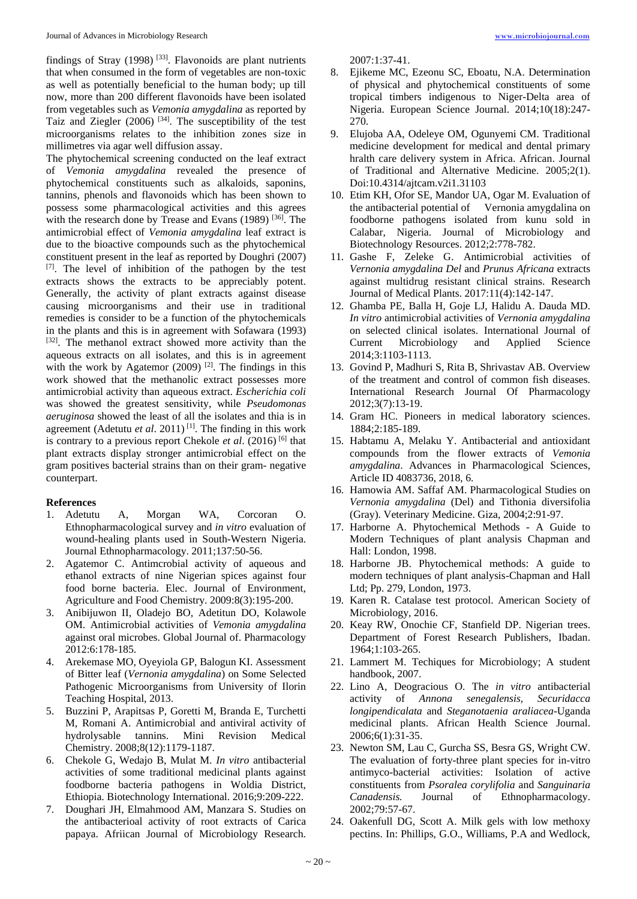findings of Stray  $(1998)$ <sup>[33]</sup>. Flavonoids are plant nutrients that when consumed in the form of vegetables are non-toxic as well as potentially beneficial to the human body; up till now, more than 200 different flavonoids have been isolated from vegetables such as *Vemonia amygdalina* as reported by Taiz and Ziegler (2006) [34] . The susceptibility of the test microorganisms relates to the inhibition zones size in millimetres via agar well diffusion assay.

The phytochemical screening conducted on the leaf extract of *Vemonia amygdalina* revealed the presence of phytochemical constituents such as alkaloids, saponins, tannins, phenols and flavonoids which has been shown to possess some pharmacological activities and this agrees with the research done by Trease and Evans  $(1989)$  <sup>[36]</sup>. The antimicrobial effect of *Vemonia amygdalina* leaf extract is due to the bioactive compounds such as the phytochemical constituent present in the leaf as reported by Doughri (2007) [7]. The level of inhibition of the pathogen by the test extracts shows the extracts to be appreciably potent. Generally, the activity of plant extracts against disease causing microorganisms and their use in traditional remedies is consider to be a function of the phytochemicals in the plants and this is in agreement with Sofawara (1993) [32]. The methanol extract showed more activity than the aqueous extracts on all isolates, and this is in agreement with the work by Agatemor  $(2009)$ <sup>[2]</sup>. The findings in this work showed that the methanolic extract possesses more antimicrobial activity than aqueous extract. *Escherichia coli* was showed the greatest sensitivity, while *Pseudomonas aeruginosa* showed the least of all the isolates and thia is in agreement (Adetutu *et al.* 2011)<sup>[1]</sup>. The finding in this work is contrary to a previous report Chekole *et al.* (2016)<sup>[6]</sup> that plant extracts display stronger antimicrobial effect on the gram positives bacterial strains than on their gram- negative counterpart.

## **References**

- 1. Adetutu A, Morgan WA, Corcoran O. Ethnopharmacological survey and *in vitro* evaluation of wound-healing plants used in South-Western Nigeria. Journal Ethnopharmacology. 2011;137:50-56.
- 2. Agatemor C. Antimcrobial activity of aqueous and ethanol extracts of nine Nigerian spices against four food borne bacteria. Elec. Journal of Environment, Agriculture and Food Chemistry. 2009:8(3):195-200.
- 3. Anibijuwon II, Oladejo BO, Adetitun DO, Kolawole OM. Antimicrobial activities of *Vemonia amygdalina*  against oral microbes. Global Journal of. Pharmacology 2012:6:178-185.
- 4. Arekemase MO, Oyeyiola GP, Balogun KI. Assessment of Bitter leaf (*Vernonia amygdalina*) on Some Selected Pathogenic Microorganisms from University of Ilorin Teaching Hospital, 2013.
- 5. Buzzini P, Arapitsas P, Goretti M, Branda E, Turchetti M, Romani A. Antimicrobial and antiviral activity of hydrolysable tannins. Mini Revision Medical Chemistry. 2008;8(12):1179-1187.
- 6. Chekole G, Wedajo B, Mulat M. *In vitro* antibacterial activities of some traditional medicinal plants against foodborne bacteria pathogens in Woldia District, Ethiopia. Biotechnology International. 2016;9:209-222.
- 7. Doughari JH, Elmahmood AM, Manzara S. Studies on the antibacterioal activity of root extracts of Carica papaya. Afriican Journal of Microbiology Research.

2007:1:37-41.

- 8. Ejikeme MC, Ezeonu SC, Eboatu, N.A. Determination of physical and phytochemical constituents of some tropical timbers indigenous to Niger-Delta area of Nigeria. European Science Journal. 2014;10(18):247- 270.
- 9. Elujoba AA, Odeleye OM, Ogunyemi CM. Traditional medicine development for medical and dental primary hralth care delivery system in Africa. African. Journal of Traditional and Alternative Medicine. 2005;2(1). Doi:10.4314/ajtcam.v2i1.31103
- 10. Etim KH, Ofor SE, Mandor UA, Ogar M. Evaluation of the antibacterial potential of Vernonia amygdalina on foodborne pathogens isolated from kunu sold in Calabar, Nigeria. Journal of Microbiology and Biotechnology Resources. 2012;2:778-782.
- 11. Gashe F, Zeleke G. Antimicrobial activities of *Vernonia amygdalina Del* and *Prunus Africana* extracts against multidrug resistant clinical strains. Research Journal of Medical Plants. 2017:11(4):142-147.
- 12. Ghamba PE, Balla H, Goje LJ, Halidu A. Dauda MD. *In vitro* antimicrobial activities of *Vernonia amygdalina* on selected clinical isolates. International Journal of Current Microbiology and Applied Science 2014;3:1103-1113.
- 13. Govind P, Madhuri S, Rita B, Shrivastav AB. Overview of the treatment and control of common fish diseases. International Research Journal Of Pharmacology 2012;3(7):13-19.
- 14. Gram HC. Pioneers in medical laboratory sciences. 1884;2:185-189.
- 15. Habtamu A, Melaku Y. Antibacterial and antioxidant compounds from the flower extracts of *Vemonia amygdalina*. Advances in Pharmacological Sciences, Article ID 4083736, 2018, 6.
- 16. Hamowia AM. Saffaf AM. Pharmacological Studies on *Vernonia amygdalina* (Del) and Tithonia diversifolia (Gray). Veterinary Medicine. Giza, 2004;2:91-97.
- 17. Harborne A. Phytochemical Methods A Guide to Modern Techniques of plant analysis Chapman and Hall: London, 1998.
- 18. Harborne JB. Phytochemical methods: A guide to modern techniques of plant analysis-Chapman and Hall Ltd; Pp. 279, London, 1973.
- 19. Karen R. Catalase test protocol. American Society of Microbiology, 2016.
- 20. Keay RW, Onochie CF, Stanfield DP. Nigerian trees. Department of Forest Research Publishers, Ibadan. 1964;1:103-265.
- 21. Lammert M. Techiques for Microbiology; A student handbook, 2007.
- 22. Lino A, Deogracious O. The *in vitro* antibacterial activity of *Annona senegalensis, Securidacca longipendicalata* and *Steganotaenia araliacea*-Uganda medicinal plants. African Health Science Journal. 2006;6(1):31-35.
- 23. Newton SM, Lau C, Gurcha SS, Besra GS, Wright CW. The evaluation of forty-three plant species for in-vitro antimyco-bacterial activities: Isolation of active constituents from *Psoralea corylifolia* and *Sanguinaria Canadensis.* Journal of Ethnopharmacology. 2002;79:57-67.
- 24. Oakenfull DG, Scott A. Milk gels with low methoxy pectins. In: Phillips, G.O., Williams, P.A and Wedlock,